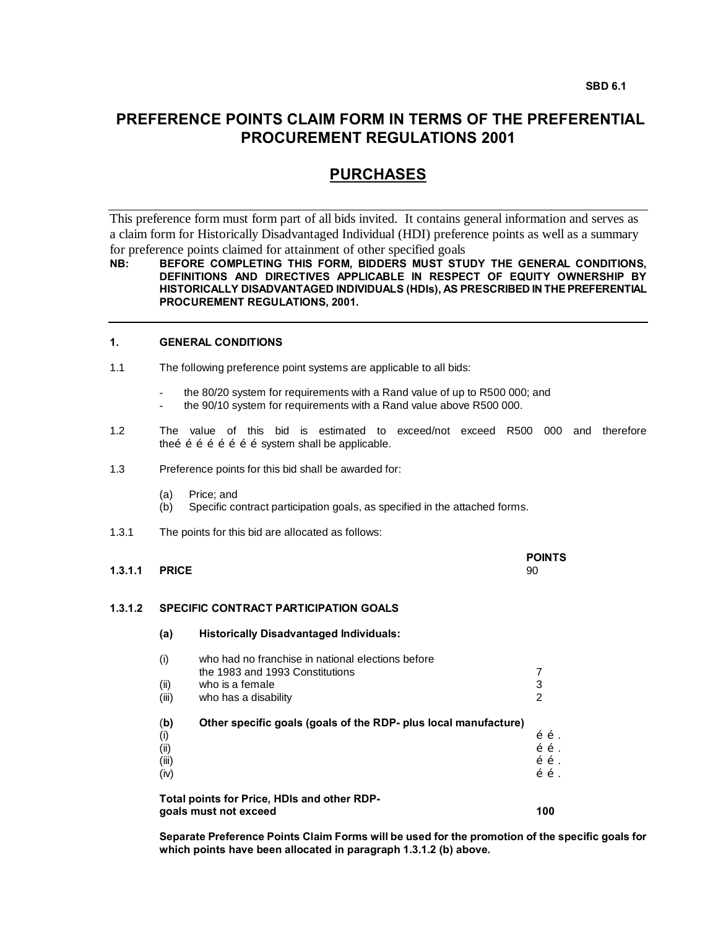# **PREFERENCE POINTS CLAIM FORM IN TERMS OF THE PREFERENTIAL PROCUREMENT REGULATIONS 2001**

# **PURCHASES**

This preference form must form part of all bids invited. It contains general information and serves as a claim form for Historically Disadvantaged Individual (HDI) preference points as well as a summary for preference points claimed for attainment of other specified goals

# **NB: BEFORE COMPLETING THIS FORM, BIDDERS MUST STUDY THE GENERAL CONDITIONS, DEFINITIONS AND DIRECTIVES APPLICABLE IN RESPECT OF EQUITY OWNERSHIP BY HISTORICALLY DISADVANTAGED INDIVIDUALS (HDIs), AS PRESCRIBED IN THE PREFERENTIAL PROCUREMENT REGULATIONS, 2001.**

# **1. GENERAL CONDITIONS**

- 1.1 The following preference point systems are applicable to all bids:
	- the 80/20 system for requirements with a Rand value of up to R500 000; and
	- the 90/10 system for requirements with a Rand value above R500 000.
- 1.2 The value of this bid is estimated to exceed/not exceed R500 000 and therefore theõ õ õ õ õ õ õ õ system shall be applicable.
- 1.3 Preference points for this bid shall be awarded for:
	- (a) Price; and
	- (b) Specific contract participation goals, as specified in the attached forms.
- 1.3.1 The points for this bid are allocated as follows:

|                      |  | <b>POINTS</b> |
|----------------------|--|---------------|
| <b>1.3.1.1 PRICE</b> |  | 90            |
|                      |  |               |

# **1.3.1.2 SPECIFIC CONTRACT PARTICIPATION GOALS**

**(a) Historically Disadvantaged Individuals:** (i) who had no franchise in national elections before the 1983 and 1993 Constitutions **7** and 1993 Constitutions  $(i)$  who is a female  $3$ (iii) who has a disability 2 (**b) Other specific goals (goals of the RDP- plus local manufacture)** (i)  $\tilde{\sigma} \tilde{\sigma}$ . (ii)  $\tilde{\sigma}$   $\tilde{\sigma}$ . (iii)  $\tilde{O}$  . The contract of the contract of the contract of the contract of  $\tilde{O}$  .  $\tilde{O}$  $\tilde{\sigma}$   $\tilde{\sigma}$  .  $\tilde{\sigma}$  . **Total points for Price, HDIs and other RDPgoals must not exceed 100**

**Separate Preference Points Claim Forms will be used for the promotion of the specific goals for which points have been allocated in paragraph 1.3.1.2 (b) above.**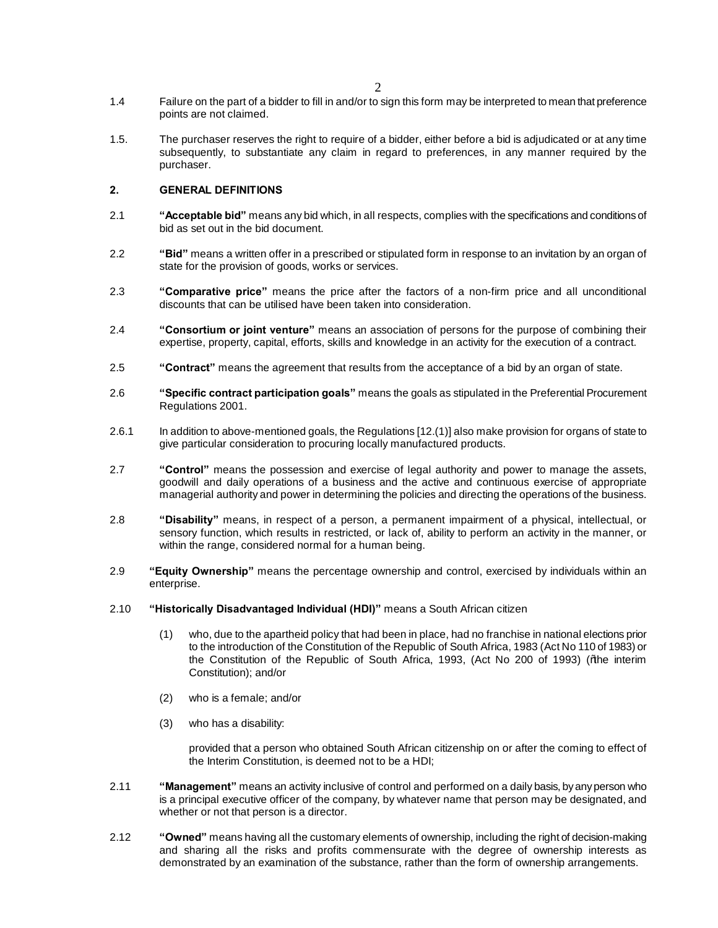- 1.4 Failure on the part of a bidder to fill in and/or to sign this form may be interpreted to mean that preference points are not claimed.
- 1.5. The purchaser reserves the right to require of a bidder, either before a bid is adjudicated or at any time subsequently, to substantiate any claim in regard to preferences, in any manner required by the purchaser.

# **2. GENERAL DEFINITIONS**

- 2.1 **"Acceptable bid"** means any bid which, in all respects, complies with the specifications and conditions of bid as set out in the bid document.
- 2.2 **"Bid"** means a written offer in a prescribed or stipulated form in response to an invitation by an organ of state for the provision of goods, works or services.
- 2.3 **"Comparative price"** means the price after the factors of a non-firm price and all unconditional discounts that can be utilised have been taken into consideration.
- 2.4 **"Consortium or joint venture"** means an association of persons for the purpose of combining their expertise, property, capital, efforts, skills and knowledge in an activity for the execution of a contract.
- 2.5 **"Contract"** means the agreement that results from the acceptance of a bid by an organ of state.
- 2.6 **"Specific contract participation goals"** means the goals as stipulated in the Preferential Procurement Regulations 2001.
- 2.6.1 In addition to above-mentioned goals, the Regulations [12.(1)] also make provision for organs of state to give particular consideration to procuring locally manufactured products.
- 2.7 **"Control"** means the possession and exercise of legal authority and power to manage the assets, goodwill and daily operations of a business and the active and continuous exercise of appropriate managerial authority and power in determining the policies and directing the operations of the business.
- 2.8 **"Disability"** means, in respect of a person, a permanent impairment of a physical, intellectual, or sensory function, which results in restricted, or lack of, ability to perform an activity in the manner, or within the range, considered normal for a human being.
- 2.9 **"Equity Ownership"** means the percentage ownership and control, exercised by individuals within an enterprise.
- 2.10 **"Historically Disadvantaged Individual (HDI)"** means a South African citizen
	- (1) who, due to the apartheid policy that had been in place, had no franchise in national elections prior to the introduction of the Constitution of the Republic of South Africa, 1983 (Act No 110 of 1983) or the Constitution of the Republic of South Africa, 1993, (Act No 200 of 1993) (% he interim Constitution); and/or
	- (2) who is a female; and/or
	- (3) who has a disability:

provided that a person who obtained South African citizenship on or after the coming to effect of the Interim Constitution, is deemed not to be a HDI;

- 2.11 **"Management"** means an activity inclusive of control and performed on a daily basis, by any person who is a principal executive officer of the company, by whatever name that person may be designated, and whether or not that person is a director.
- 2.12 **"Owned"** means having all the customary elements of ownership, including the right of decision-making and sharing all the risks and profits commensurate with the degree of ownership interests as demonstrated by an examination of the substance, rather than the form of ownership arrangements.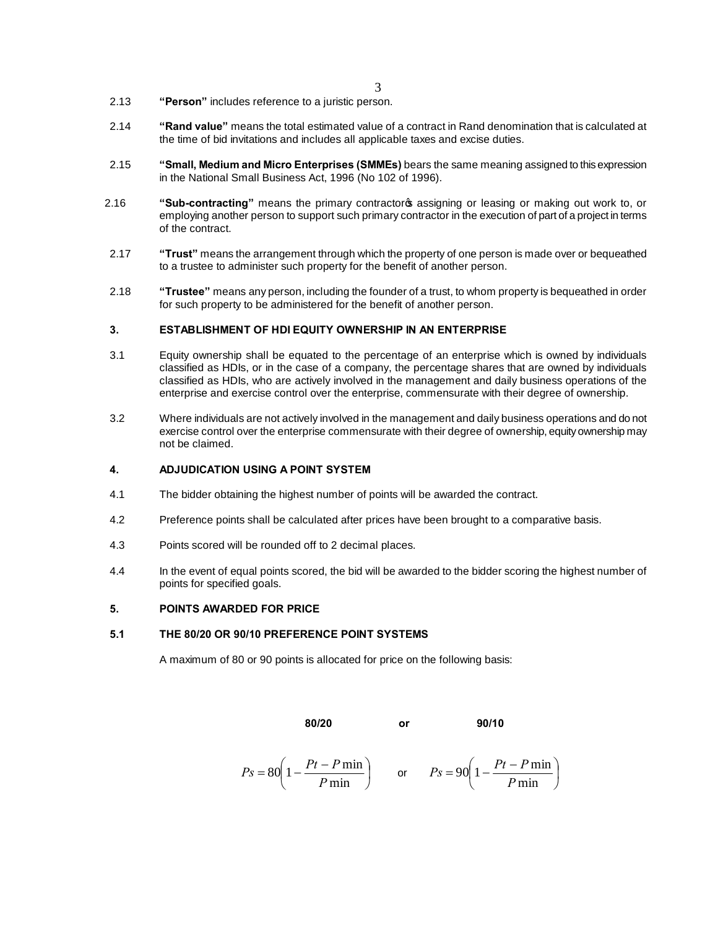- 2.13 **"Person"** includes reference to a juristic person.
- 2.14 **"Rand value"** means the total estimated value of a contract in Rand denomination that is calculated at the time of bid invitations and includes all applicable taxes and excise duties.
- 2.15 **"Small, Medium and Micro Enterprises (SMMEs)** bears the same meaning assigned to this expression in the National Small Business Act, 1996 (No 102 of 1996).
- 2.16 **"Sub-contracting**" means the primary contractoros assigning or leasing or making out work to, or employing another person to support such primary contractor in the execution of part of a project in terms of the contract.
- 2.17 **"Trust"** means the arrangement through which the property of one person is made over or bequeathed to a trustee to administer such property for the benefit of another person.
- 2.18 **"Trustee"** means any person, including the founder of a trust, to whom property is bequeathed in order for such property to be administered for the benefit of another person.

#### **3. ESTABLISHMENT OF HDI EQUITY OWNERSHIP IN AN ENTERPRISE**

- 3.1 Equity ownership shall be equated to the percentage of an enterprise which is owned by individuals classified as HDIs, or in the case of a company, the percentage shares that are owned by individuals classified as HDIs, who are actively involved in the management and daily business operations of the enterprise and exercise control over the enterprise, commensurate with their degree of ownership.
- 3.2 Where individuals are not actively involved in the management and daily business operations and do not exercise control over the enterprise commensurate with their degree of ownership, equity ownership may not be claimed.

## **4. ADJUDICATION USING A POINT SYSTEM**

- 4.1 The bidder obtaining the highest number of points will be awarded the contract.
- 4.2 Preference points shall be calculated after prices have been brought to a comparative basis.
- 4.3 Points scored will be rounded off to 2 decimal places.
- 4.4 In the event of equal points scored, the bid will be awarded to the bidder scoring the highest number of points for specified goals.

#### **5. POINTS AWARDED FOR PRICE**

#### **5.1 THE 80/20 OR 90/10 PREFERENCE POINT SYSTEMS**

A maximum of 80 or 90 points is allocated for price on the following basis:

**80/20 or 90/10**

$$
Ps = 80 \left( 1 - \frac{Pt - P \min}{P \min} \right) \qquad \text{or} \qquad Ps = 90 \left( 1 - \frac{Pt - P \min}{P \min} \right)
$$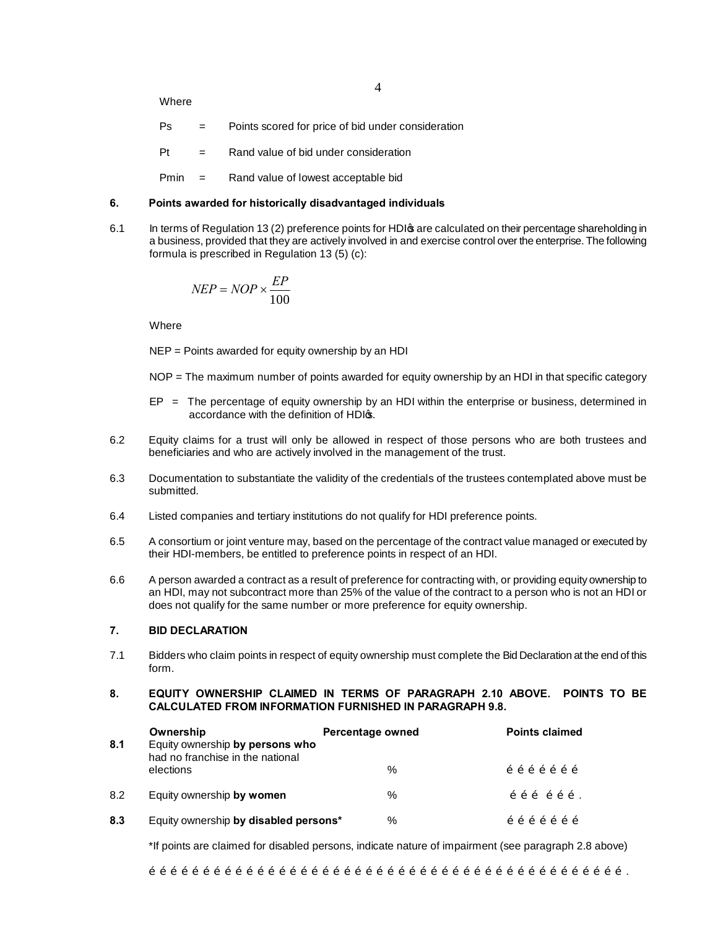Where

- Ps = Points scored for price of bid under consideration
- $Pt =$  Rand value of bid under consideration
- Pmin = Rand value of lowest acceptable bid

# **6. Points awarded for historically disadvantaged individuals**

6.1 In terms of Regulation 13 (2) preference points for HDI as are calculated on their percentage shareholding in a business, provided that they are actively involved in and exercise control over the enterprise. The following formula is prescribed in Regulation 13 (5) (c):

$$
NEP = NOP \times \frac{EP}{100}
$$

**Where** 

NEP = Points awarded for equity ownership by an HDI

NOP = The maximum number of points awarded for equity ownership by an HDI in that specific category

- $EP = The percentage of equity ownership by an HD within the enterprise or business, determined in$ accordance with the definition of HDIG.
- 6.2 Equity claims for a trust will only be allowed in respect of those persons who are both trustees and beneficiaries and who are actively involved in the management of the trust.
- 6.3 Documentation to substantiate the validity of the credentials of the trustees contemplated above must be submitted.
- 6.4 Listed companies and tertiary institutions do not qualify for HDI preference points.
- 6.5 A consortium or joint venture may, based on the percentage of the contract value managed or executed by their HDI-members, be entitled to preference points in respect of an HDI.
- 6.6 A person awarded a contract as a result of preference for contracting with, or providing equity ownership to an HDI, may not subcontract more than 25% of the value of the contract to a person who is not an HDI or does not qualify for the same number or more preference for equity ownership.

# **7. BID DECLARATION**

- 7.1 Bidders who claim points in respect of equity ownership must complete the Bid Declaration at the end of this form.
- **8. EQUITY OWNERSHIP CLAIMED IN TERMS OF PARAGRAPH 2.10 ABOVE. POINTS TO BE CALCULATED FROM INFORMATION FURNISHED IN PARAGRAPH 9.8.**

| 8.1 | Ownership<br>Equity ownership by persons who<br>had no franchise in the national | Percentage owned | <b>Points claimed</b> |
|-----|----------------------------------------------------------------------------------|------------------|-----------------------|
|     | elections                                                                        | $\frac{0}{0}$    | õõõõõõ                |
| 8.2 | Equity ownership by women                                                        | $\%$             | õõõõõõ.               |
| 8.3 | Equity ownership by disabled persons*                                            | $\%$             | õõõõõõ                |

\*If points are claimed for disabled persons, indicate nature of impairment (see paragraph 2.8 above)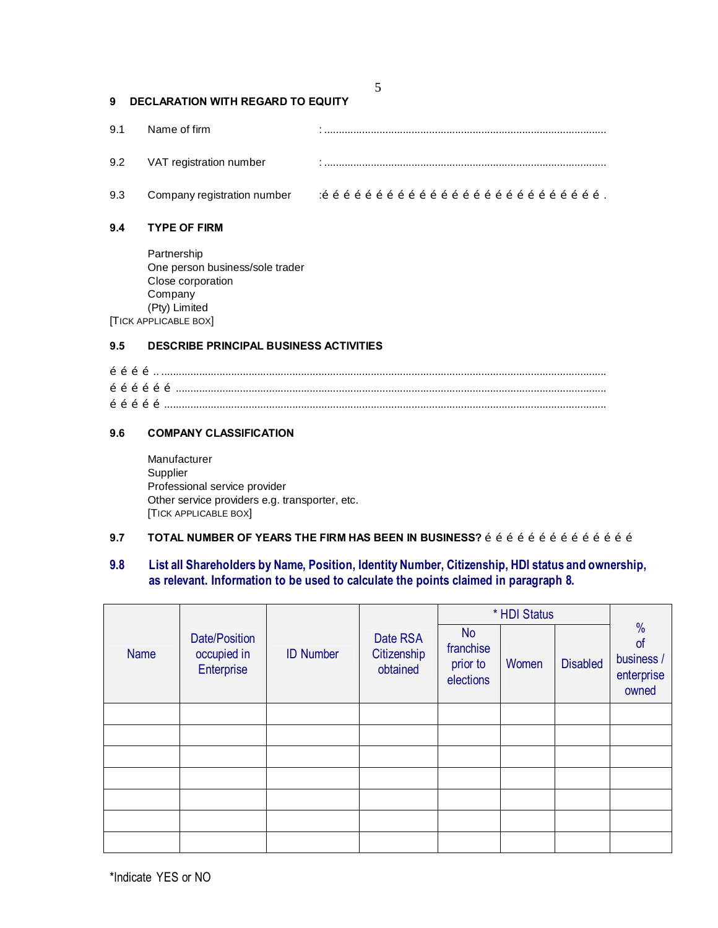|     | 5                                                                                                                                    |  |  |  |
|-----|--------------------------------------------------------------------------------------------------------------------------------------|--|--|--|
| 9   | <b>DECLARATION WITH REGARD TO EQUITY</b>                                                                                             |  |  |  |
| 9.1 | Name of firm                                                                                                                         |  |  |  |
| 9.2 | VAT registration number                                                                                                              |  |  |  |
| 9.3 |                                                                                                                                      |  |  |  |
| 9.4 | <b>TYPE OF FIRM</b>                                                                                                                  |  |  |  |
|     | Partnership<br>One person business/sole trader<br>Close corporation<br>Company<br>(Pty) Limited<br><b>TICK APPLICABLE BOX</b>        |  |  |  |
| 9.5 | <b>DESCRIBE PRINCIPAL BUSINESS ACTIVITIES</b>                                                                                        |  |  |  |
|     |                                                                                                                                      |  |  |  |
| 9.6 | <b>COMPANY CLASSIFICATION</b>                                                                                                        |  |  |  |
|     | Manufacturer<br>Supplier<br>Professional service provider<br>Other service providers e.g. transporter, etc.<br>[TICK APPLICABLE BOX] |  |  |  |

# **9.7 TOTAL NUMBER OF YEARS THE FIRM HAS BEEN IN BUSINESS?**  $\tilde{o}$   $\tilde{o}$   $\tilde{o}$   $\tilde{o}$   $\tilde{o}$   $\tilde{o}$   $\tilde{o}$   $\tilde{o}$   $\tilde{o}$   $\tilde{o}$   $\tilde{o}$   $\tilde{o}$   $\tilde{o}$   $\tilde{o}$   $\tilde{o}$   $\tilde{o}$   $\tilde{o}$   $\tilde{o}$   $\tilde{o}$   $\tilde{o}$

# **9.8 List all Shareholders by Name, Position, Identity Number, Citizenship, HDI status and ownership, as relevant. Information to be used to calculate the points claimed in paragraph 8.**

|             |                                            |                  |                                     |                                                 | * HDI Status |                 |                                                          |
|-------------|--------------------------------------------|------------------|-------------------------------------|-------------------------------------------------|--------------|-----------------|----------------------------------------------------------|
| <b>Name</b> | Date/Position<br>occupied in<br>Enterprise | <b>ID Number</b> | Date RSA<br>Citizenship<br>obtained | <b>No</b><br>franchise<br>prior to<br>elections | Women        | <b>Disabled</b> | $\frac{0}{0}$<br>of<br>business /<br>enterprise<br>owned |
|             |                                            |                  |                                     |                                                 |              |                 |                                                          |
|             |                                            |                  |                                     |                                                 |              |                 |                                                          |
|             |                                            |                  |                                     |                                                 |              |                 |                                                          |
|             |                                            |                  |                                     |                                                 |              |                 |                                                          |
|             |                                            |                  |                                     |                                                 |              |                 |                                                          |
|             |                                            |                  |                                     |                                                 |              |                 |                                                          |
|             |                                            |                  |                                     |                                                 |              |                 |                                                          |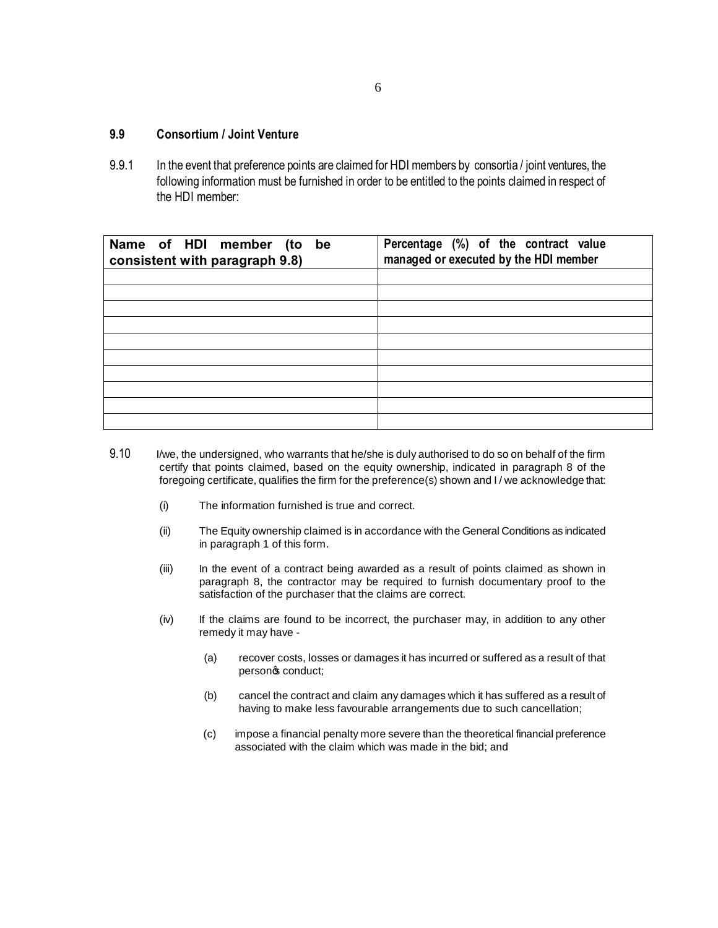# **9.9 Consortium / Joint Venture**

9.9.1 In the event that preference points are claimed for HDI members by consortia / joint ventures, the following information must be furnished in order to be entitled to the points claimed in respect of the HDI member:

| Name of HDI member (to be<br>consistent with paragraph 9.8) | Percentage (%) of the contract value<br>managed or executed by the HDI member |  |  |  |
|-------------------------------------------------------------|-------------------------------------------------------------------------------|--|--|--|
|                                                             |                                                                               |  |  |  |
|                                                             |                                                                               |  |  |  |
|                                                             |                                                                               |  |  |  |
|                                                             |                                                                               |  |  |  |
|                                                             |                                                                               |  |  |  |
|                                                             |                                                                               |  |  |  |
|                                                             |                                                                               |  |  |  |
|                                                             |                                                                               |  |  |  |
|                                                             |                                                                               |  |  |  |
|                                                             |                                                                               |  |  |  |

- 9.10 I/we, the undersigned, who warrants that he/she is duly authorised to do so on behalf of the firm certify that points claimed, based on the equity ownership, indicated in paragraph 8 of the foregoing certificate, qualifies the firm for the preference(s) shown and I / we acknowledge that:
	- (i) The information furnished is true and correct.
	- (ii) The Equity ownership claimed is in accordance with the General Conditions as indicated in paragraph 1 of this form.
	- (iii) In the event of a contract being awarded as a result of points claimed as shown in paragraph 8, the contractor may be required to furnish documentary proof to the satisfaction of the purchaser that the claims are correct.
	- (iv) If the claims are found to be incorrect, the purchaser may, in addition to any other remedy it may have -
		- (a) recover costs, losses or damages it has incurred or suffered as a result of that personos conduct;
		- (b) cancel the contract and claim any damages which it has suffered as a result of having to make less favourable arrangements due to such cancellation;
		- (c) impose a financial penalty more severe than the theoretical financial preference associated with the claim which was made in the bid; and